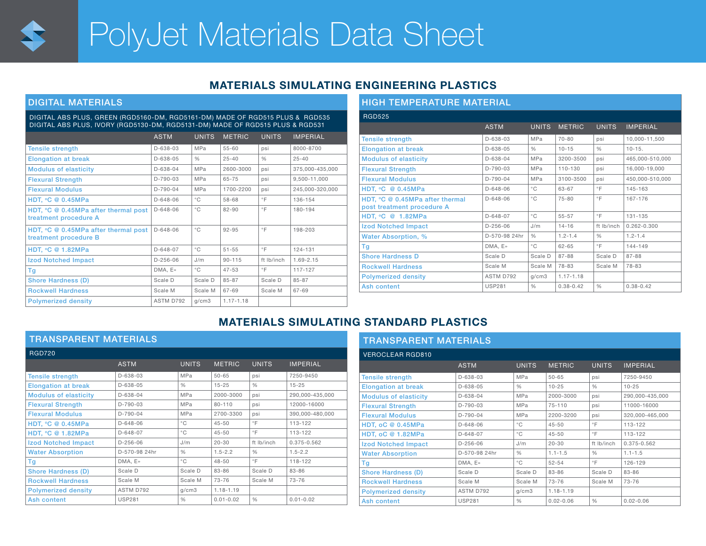

# PolyJet Materials Data Sheet

# MATERIALS SIMULATING ENGINEERING PLASTICS

## DIGITAL MATERIALS

#### DIGITAL ABS PLUS, GREEN (RGD5160-DM, RGD5161-DM) MADE OF RGD515 PLUS & RGD535 DIGITAL ABS PLUS, IVORY (RGD5130-DM, RGD5131-DM) MADE OF RGD515 PLUS & RGD531

|                                                                                | <b>ASTM</b>    | <b>UNITS</b>  | <b>METRIC</b> | <b>UNITS</b>  | <b>IMPERIAL</b> |
|--------------------------------------------------------------------------------|----------------|---------------|---------------|---------------|-----------------|
| <b>Tensile strength</b>                                                        | D-638-03       | <b>MPa</b>    | $55 - 60$     | psi           | 8000-8700       |
| <b>Elongation at break</b>                                                     | $D-638-05$     | $\frac{1}{2}$ | $25 - 40$     | $\frac{0}{0}$ | $25 - 40$       |
| <b>Modulus of elasticity</b>                                                   | D-638-04       | <b>MPa</b>    | 2600-3000     | psi           | 375,000-435,000 |
| <b>Flexural Strength</b>                                                       | $D-790-03$     | <b>MPa</b>    | 65-75         | psi           | 9,500-11,000    |
| <b>Flexural Modulus</b>                                                        | $D-790-04$     | <b>MPa</b>    | 1700-2200     | psi           | 245.000-320.000 |
| HDT, $°C@0.45MPa$                                                              | $D - 648 - 06$ | $^{\circ}$ C  | 58-68         | $\circ$ F     | 136-154         |
| HDT, $°C \t@ 0.45MPa$ after thermal post<br>treatment procedure A              | $D-648-06$     | $^{\circ}$ C  | $82 - 90$     | $\circ$ F     | 180-194         |
| HDT, ${}^{\circ}C \otimes 0.45MPa$ after thermal post<br>treatment procedure B | $D-648-06$     | $^{\circ}$ C  | $92 - 95$     | $\circ$ F     | 198-203         |
| <b>HDT, °C @ 1.82MPa</b>                                                       | $D-648-07$     | $^{\circ}$ C  | $51 - 55$     | $\circ$ F     | 124-131         |
| <b>Izod Notched Impact</b>                                                     | $D-256-06$     | J/m           | $90 - 115$    | ft Ib/inch    | 1.69-2.15       |
| Τg                                                                             | DMA, E»        | $^{\circ}$ C  | $47 - 53$     | $\circ$ F     | 117-127         |
| <b>Shore Hardness (D)</b>                                                      | Scale D        | Scale D       | $85 - 87$     | Scale D       | $85 - 87$       |
| <b>Rockwell Hardness</b>                                                       | Scale M        | Scale M       | 67-69         | Scale M       | 67-69           |
| <b>Polymerized density</b>                                                     | ASTM D792      | q/cm3         | $1.17 - 1.18$ |               |                 |

| <b>HIGH TEMPERATURE MATERIAL</b>                              |                |               |               |               |                 |  |  |  |  |  |
|---------------------------------------------------------------|----------------|---------------|---------------|---------------|-----------------|--|--|--|--|--|
| <b>RGD525</b>                                                 |                |               |               |               |                 |  |  |  |  |  |
|                                                               | <b>ASTM</b>    | <b>UNITS</b>  | <b>METRIC</b> | <b>UNITS</b>  | <b>IMPERIAL</b> |  |  |  |  |  |
| <b>Tensile strength</b>                                       | $D - 638 - 03$ | MPa           | $70 - 80$     | psi           | 10.000-11.500   |  |  |  |  |  |
| <b>Elongation at break</b>                                    | $D-638-05$     | $\frac{0}{0}$ | $10 - 15$     | $\frac{0}{0}$ | $10 - 15.$      |  |  |  |  |  |
| <b>Modulus of elasticity</b>                                  | $D-638-04$     | MPa           | 3200-3500     | psi           | 465.000-510.000 |  |  |  |  |  |
| <b>Flexural Strength</b>                                      | $D-790-03$     | MPa           | 110-130       | psi           | 16.000-19.000   |  |  |  |  |  |
| <b>Flexural Modulus</b>                                       | $D-790-04$     | MPa           | 3100-3500     | psi           | 450.000-510.000 |  |  |  |  |  |
| HDT, ${}^{\circ}C$ @ 0.45MPa                                  | $D - 648 - 06$ | $^{\circ}$ C  | 63-67         | $\circ$ F     | 145-163         |  |  |  |  |  |
| HDT, °C @ 0.45MPa after thermal<br>post treatment procedure A | $D - 648 - 06$ | $^{\circ}$ C  | $75 - 80$     | $^{\circ}$ F  | 167-176         |  |  |  |  |  |
| HDT, °C @ 1.82MPa                                             | $D-648-07$     | $^{\circ}$ C  | $55 - 57$     | $^{\circ}$ F  | 131-135         |  |  |  |  |  |
| <b>Izod Notched Impact</b>                                    | $D-256-06$     | J/m           | $14 - 16$     | ft Ib/inch    | $0.262 - 0.300$ |  |  |  |  |  |
| Water Absorption, %                                           | D-570-98 24hr  | $\frac{0}{0}$ | $1.2 - 1.4$   | $\frac{0}{0}$ | $1.2 - 1.4$     |  |  |  |  |  |
| Τg                                                            | DMA, E»        | $^{\circ}$ C  | $62 - 65$     | $\circ$ F     | 144-149         |  |  |  |  |  |
| <b>Shore Hardness D</b>                                       | Scale D        | Scale D       | 87-88         | Scale D       | 87-88           |  |  |  |  |  |
| <b>Rockwell Hardness</b>                                      | Scale M        | Scale M       | 78-83         | Scale M       | 78-83           |  |  |  |  |  |
| <b>Polymerized density</b>                                    | ASTM D792      | q/cm3         | $1.17 - 1.18$ |               |                 |  |  |  |  |  |
| Ash content                                                   | <b>USP281</b>  | $\frac{0}{0}$ | $0.38 - 0.42$ | $\frac{0}{0}$ | $0.38 - 0.42$   |  |  |  |  |  |

# MATERIALS SIMULATING STANDARD PLASTICS

| <b>TRANSPARENT MATERIALS</b> |                |               |               |               |                 |  |  |  |  |  |
|------------------------------|----------------|---------------|---------------|---------------|-----------------|--|--|--|--|--|
| <b>RGD720</b>                |                |               |               |               |                 |  |  |  |  |  |
|                              | <b>ASTM</b>    | <b>UNITS</b>  | <b>METRIC</b> | <b>UNITS</b>  | <b>IMPERIAL</b> |  |  |  |  |  |
| <b>Tensile strength</b>      | D-638-03       | <b>MPa</b>    | $50 - 65$     | psi           | 7250-9450       |  |  |  |  |  |
| <b>Elongation at break</b>   | $D-638-05$     | $\frac{1}{2}$ | $15 - 25$     | $\frac{0}{0}$ | $15 - 25$       |  |  |  |  |  |
| <b>Modulus of elasticity</b> | $D-638-04$     | <b>MPa</b>    | 2000-3000     | psi           | 290,000-435,000 |  |  |  |  |  |
| <b>Flexural Strength</b>     | $D-790-03$     | <b>MPa</b>    | $80 - 110$    | psi           | 12000-16000     |  |  |  |  |  |
| <b>Flexural Modulus</b>      | $D-790-04$     | <b>MPa</b>    | 2700-3300     | psi           | 390,000-480,000 |  |  |  |  |  |
| HDT. $°C@0.45MPa$            | $D - 648 - 06$ | $^{\circ}$ C  | $45 - 50$     | $\circ$ F     | 113-122         |  |  |  |  |  |
| <b>HDT, °C @ 1.82MPa</b>     | $D-648-07$     | $^{\circ}$ C  | $45 - 50$     | $\circ$ F     | 113-122         |  |  |  |  |  |
| <b>Izod Notched Impact</b>   | $D-256-06$     | J/m           | $20 - 30$     | ft lb/inch    | 0.375-0.562     |  |  |  |  |  |
| <b>Water Absorption</b>      | D-570-98 24hr  | $\frac{0}{0}$ | $1.5 - 2.2$   | $\frac{0}{0}$ | $1.5 - 2.2$     |  |  |  |  |  |
| Tg                           | DMA, E»        | $^{\circ}$ C  | $48 - 50$     | $\circ$ F     | 118-122         |  |  |  |  |  |
| <b>Shore Hardness (D)</b>    | Scale D        | Scale D       | 83-86         | Scale D       | 83-86           |  |  |  |  |  |
| <b>Rockwell Hardness</b>     | Scale M        | Scale M       | 73-76         | Scale M       | $73 - 76$       |  |  |  |  |  |
| <b>Polymerized density</b>   | ASTM D792      | q/cm3         | $1.18 - 1.19$ |               |                 |  |  |  |  |  |
| Ash content                  | <b>USP281</b>  | $\frac{0}{0}$ | $0.01 - 0.02$ | $\frac{0}{0}$ | $0.01 - 0.02$   |  |  |  |  |  |

| <b>TRANSPARENT MATERIALS</b> |                |               |               |               |                 |  |  |  |  |  |
|------------------------------|----------------|---------------|---------------|---------------|-----------------|--|--|--|--|--|
| <b>VEROCLEAR RGD810</b>      |                |               |               |               |                 |  |  |  |  |  |
|                              | <b>ASTM</b>    | <b>UNITS</b>  | <b>METRIC</b> | <b>UNITS</b>  | <b>IMPERIAL</b> |  |  |  |  |  |
| <b>Tensile strength</b>      | $D - 638 - 03$ | MPa           | $50 - 65$     | psi           | 7250-9450       |  |  |  |  |  |
| <b>Elongation at break</b>   | $D-638-05$     | $\frac{0}{0}$ | $10 - 25$     | $\frac{0}{0}$ | $10 - 25$       |  |  |  |  |  |
| <b>Modulus of elasticity</b> | $D-638-04$     | MPa           | 2000-3000     | psi           | 290.000-435.000 |  |  |  |  |  |
| <b>Flexural Strength</b>     | $D-790-03$     | <b>MPa</b>    | $75 - 110$    | psi           | 11000-16000     |  |  |  |  |  |
| <b>Flexural Modulus</b>      | $D-790-04$     | MPa           | 2200-3200     | psi           | 320.000-465.000 |  |  |  |  |  |
| HDT, oC @ 0.45MPa            | $D - 648 - 06$ | $^{\circ}$ C  | $45 - 50$     | $\circ$ F     | 113-122         |  |  |  |  |  |
| <b>HDT, oC @ 1.82MPa</b>     | $D-648-07$     | $^{\circ}$ C  | $45 - 50$     | $\circ$ F     | 113-122         |  |  |  |  |  |
| <b>Izod Notched Impact</b>   | $D-256-06$     | J/m           | $20 - 30$     | ft lb/inch    | 0.375-0.562     |  |  |  |  |  |
| <b>Water Absorption</b>      | D-570-98 24hr  | $\frac{0}{0}$ | $1.1 - 1.5$   | $\frac{0}{0}$ | $1.1 - 1.5$     |  |  |  |  |  |
| Tg                           | DMA, E»        | $^{\circ}$ C  | $52 - 54$     | $\circ$ F     | 126-129         |  |  |  |  |  |
| <b>Shore Hardness (D)</b>    | Scale D        | Scale D       | 83-86         | Scale D       | 83-86           |  |  |  |  |  |
| <b>Rockwell Hardness</b>     | Scale M        | Scale M       | $73 - 76$     | Scale M       | $73 - 76$       |  |  |  |  |  |
| <b>Polymerized density</b>   | ASTM D792      | q/cm3         | $1.18 - 1.19$ |               |                 |  |  |  |  |  |
| Ash content                  | <b>USP281</b>  | $\frac{0}{0}$ | $0.02 - 0.06$ | $\frac{0}{0}$ | $0.02 - 0.06$   |  |  |  |  |  |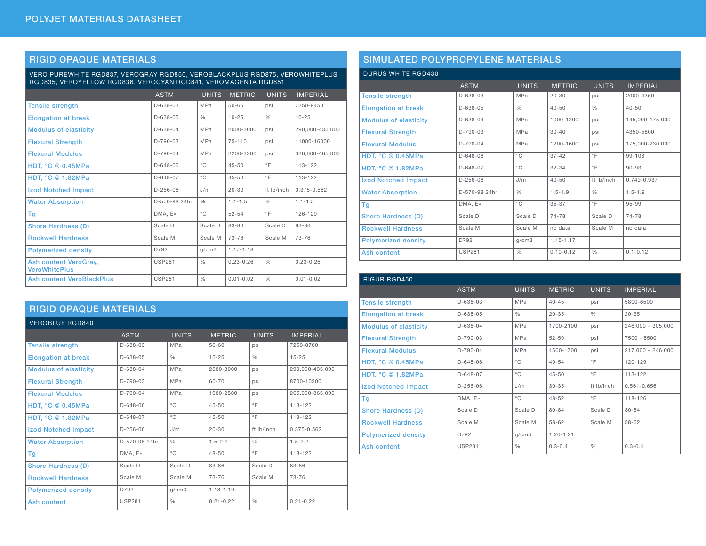## RIGID OPAQUE MATERIALS

VERO PUREWHITE RGD837, VEROGRAY RGD850, VEROBLACKPLUS RGD875, VEROWHITEPLUS RGD835, VEROYELLOW RGD836, VEROCYAN RGD841, VEROMAGENTA RGD851

|                                               | <b>ASTM</b>    | <b>UNITS</b>  | <b>METRIC</b> | <b>UNITS</b>  | <b>IMPERIAL</b> |
|-----------------------------------------------|----------------|---------------|---------------|---------------|-----------------|
| <b>Tensile strength</b>                       | $D - 638 - 03$ | MPa           | $50 - 65$     | psi           | 7250-9450       |
| <b>Elongation at break</b>                    | $D-638-05$     | $\frac{0}{0}$ | $10 - 25$     | $\frac{0}{0}$ | $10 - 25$       |
| <b>Modulus of elasticity</b>                  | $D - 638 - 04$ | <b>MPa</b>    | 2000-3000     | psi           | 290.000-435.000 |
| <b>Flexural Strength</b>                      | $D-790-03$     | <b>MPa</b>    | $75 - 110$    | psi           | 11000-16000     |
| <b>Flexural Modulus</b>                       | $D-790-04$     | MPa           | 2200-3200     | psi           | 320.000-465.000 |
| <b>HDT, °C @ 0.45MPa</b>                      | $D - 648 - 06$ | $^{\circ}$ C  | $45 - 50$     | $^{\circ}$ F  | 113-122         |
| <b>HDT, °C @ 1.82MPa</b>                      | $D-648-07$     | $^{\circ}$ C  | $45 - 50$     | $^{\circ}$ F  | 113-122         |
| <b>Izod Notched Impact</b>                    | $D-256-06$     | J/m           | $20 - 30$     | ft Ib/inch    | 0.375-0.562     |
| <b>Water Absorption</b>                       | D-570-98 24hr  | $\frac{0}{0}$ | $1.1 - 1.5$   | $\frac{0}{0}$ | $1.1 - 1.5$     |
| Tg                                            | DMA. E»        | $^{\circ}$ C  | $52 - 54$     | $\circ$ F     | 126-129         |
| <b>Shore Hardness (D)</b>                     | Scale D        | Scale D       | 83-86         | Scale D       | 83-86           |
| <b>Rockwell Hardness</b>                      | Scale M        | Scale M       | $73 - 76$     | Scale M       | $73 - 76$       |
| <b>Polymerized density</b>                    | D792           | q/cm3         | $1.17 - 1.18$ |               |                 |
| Ash content VeroGray,<br><b>VeroWhitePlus</b> | <b>USP281</b>  | $\frac{0}{0}$ | $0.23 - 0.26$ | $\frac{0}{0}$ | $0.23 - 0.26$   |
| <b>Ash content VeroBlackPlus</b>              | <b>USP281</b>  | $\frac{0}{0}$ | $0.01 - 0.02$ | $\frac{0}{0}$ | $0.01 - 0.02$   |

## RIGID OPAQUE MATERIALS

| <b>VEROBLUE RGD840</b>       |                |               |               |               |                 |
|------------------------------|----------------|---------------|---------------|---------------|-----------------|
|                              | <b>ASTM</b>    | <b>UNITS</b>  | <b>METRIC</b> | <b>UNITS</b>  | <b>IMPERIAL</b> |
| <b>Tensile strength</b>      | $D-638-03$     | MPa           | $50 - 60$     | psi           | 7250-8700       |
| <b>Elongation at break</b>   | $D-638-05$     | $\%$          | $15 - 25$     | $\frac{0}{0}$ | $15 - 25$       |
| <b>Modulus of elasticity</b> | $D-638-04$     | MPa           | 2000-3000     | psi           | 290,000-435,000 |
| <b>Flexural Strength</b>     | $D-790-03$     | MPa           | 60-70         | psi           | 8700-10200      |
| <b>Flexural Modulus</b>      | $D-790-04$     | MPa           | 1900-2500     | psi           | 265.000-365.000 |
| HDT, $^{\circ}$ C @ 0.45MPa  | $D - 648 - 06$ | $^{\circ}$ C  | $45 - 50$     | $\circ$ F     | 113-122         |
| <b>HDT, °C @ 1.82MPa</b>     | $D-648-07$     | $^{\circ}$ C  | $45 - 50$     | $^{\circ}$ F  | 113-122         |
| <b>Izod Notched Impact</b>   | $D-256-06$     | J/m           | $20 - 30$     | ft Ib/inch    | 0.375-0.562     |
| <b>Water Absorption</b>      | D-570-98 24hr  | $\frac{0}{0}$ | $1.5 - 2.2$   | $\frac{0}{0}$ | $1.5 - 2.2$     |
| Tg                           | DMA, E»        | $^{\circ}$ C  | $48 - 50$     | $\circ$ F     | 118-122         |
| <b>Shore Hardness (D)</b>    | Scale D        | Scale D       | 83-86         | Scale D       | 83-86           |
| <b>Rockwell Hardness</b>     | Scale M        | Scale M       | 73-76         | Scale M       | 73-76           |
| <b>Polymerized density</b>   | D792           | q/cm3         | $1.18 - 1.19$ |               |                 |
| Ash content                  | <b>USP281</b>  | $\frac{0}{0}$ | $0.21 - 0.22$ | $\frac{0}{0}$ | $0.21 - 0.22$   |

# SIMULATED POLYPROPYLENE MATERIALS

#### DURUS WHITE RGD430

|                              | <b>ASTM</b>    | <b>UNITS</b>  | <b>METRIC</b> | <b>UNITS</b>  | <b>IMPERIAL</b> |
|------------------------------|----------------|---------------|---------------|---------------|-----------------|
| <b>Tensile strength</b>      | $D-638-03$     | <b>MPa</b>    | $20 - 30$     | psi           | 2900-4350       |
| <b>Elongation at break</b>   | $D-638-05$     | $\frac{0}{0}$ | $40 - 50$     | $\frac{0}{0}$ | $40 - 50$       |
| <b>Modulus of elasticity</b> | $D-638-04$     | <b>MPa</b>    | 1000-1200     | psi           | 145,000-175,000 |
| <b>Flexural Strength</b>     | $D-790-03$     | <b>MPa</b>    | $30 - 40$     | psi           | 4350-5800       |
| <b>Flexural Modulus</b>      | $D-790-04$     | <b>MPa</b>    | 1200-1600     | psi           | 175,000-230,000 |
| <b>HDT, °C @ 0.45MPa</b>     | $D - 648 - 06$ | $^{\circ}$ C  | $37 - 42$     | $\circ$ F     | 99-108          |
| <b>HDT, °C @ 1.82MPa</b>     | $D - 648 - 07$ | $^{\circ}$ C  | $32 - 34$     | $\circ$ F     | $90 - 93$       |
| <b>Izod Notched Impact</b>   | $D-256-06$     | J/m           | $40 - 50$     | ft Ib/inch    | 0.749-0.937     |
| <b>Water Absorption</b>      | D-570-98 24hr  | $\frac{0}{0}$ | $1.5 - 1.9$   | $\frac{0}{0}$ | $1.5 - 1.9$     |
| Tg                           | DMA, E»        | $^{\circ}$ C  | $35 - 37$     | $\circ$ F     | 95-99           |
| <b>Shore Hardness (D)</b>    | Scale D        | Scale D       | 74-78         | Scale D       | 74-78           |
| <b>Rockwell Hardness</b>     | Scale M        | Scale M       | no data       | Scale M       | no data         |
| <b>Polymerized density</b>   | D792           | q/cm3         | $1.15 - 1.17$ |               |                 |
| Ash content                  | <b>USP281</b>  | $\frac{0}{0}$ | $0.10 - 0.12$ | $\frac{0}{0}$ | $0.1 - 0.12$    |

| <b>RIGUR RGD450</b>          |                |               |               |               |                     |
|------------------------------|----------------|---------------|---------------|---------------|---------------------|
|                              | <b>ASTM</b>    | <b>UNITS</b>  | <b>METRIC</b> | <b>UNITS</b>  | <b>IMPERIAL</b>     |
| <b>Tensile strength</b>      | $D-638-03$     | MPa           | $40 - 45$     | psi           | 5800-6500           |
| <b>Elongation at break</b>   | D-638-05       | $\frac{0}{0}$ | $20 - 35$     | $\frac{0}{0}$ | $20 - 35$           |
| <b>Modulus of elasticity</b> | $D-638-04$     | MPa           | 1700-2100     | psi           | $246,000 - 305,000$ |
| <b>Flexural Strength</b>     | $D-790-03$     | <b>MPa</b>    | $52 - 59$     | psi           | 7500 - 8500         |
| <b>Flexural Modulus</b>      | $D-790-04$     | <b>MPa</b>    | 1500-1700     | psi           | $217,000 - 246,000$ |
| <b>HDT, °C @ 0.45MPa</b>     | $D - 648 - 06$ | $^{\circ}$ C  | $49 - 54$     | $\circ$ F     | 120-129             |
| <b>HDT, °C @ 1.82MPa</b>     | $D-648-07$     | $^{\circ}$ C  | $45 - 50$     | $\circ$ F     | 113-122             |
| <b>Izod Notched Impact</b>   | $D-256-06$     | J/m           | $30 - 35$     | ft Ib/inch    | $0.561 - 0.656$     |
| Tg                           | DMA, E»        | $^{\circ}$ C  | $48 - 52$     | $\circ$ F     | 118-126             |
| <b>Shore Hardness (D)</b>    | Scale D        | Scale D       | $80 - 84$     | Scale D       | $80 - 84$           |
| <b>Rockwell Hardness</b>     | Scale M        | Scale M       | 58-62         | Scale M       | 58-62               |
| <b>Polymerized density</b>   | D792           | q/cm3         | $1.20 - 1.21$ |               |                     |
| Ash content                  | <b>USP281</b>  | $\frac{0}{0}$ | $0.3 - 0.4$   | $\frac{0}{0}$ | $0.3 - 0.4$         |